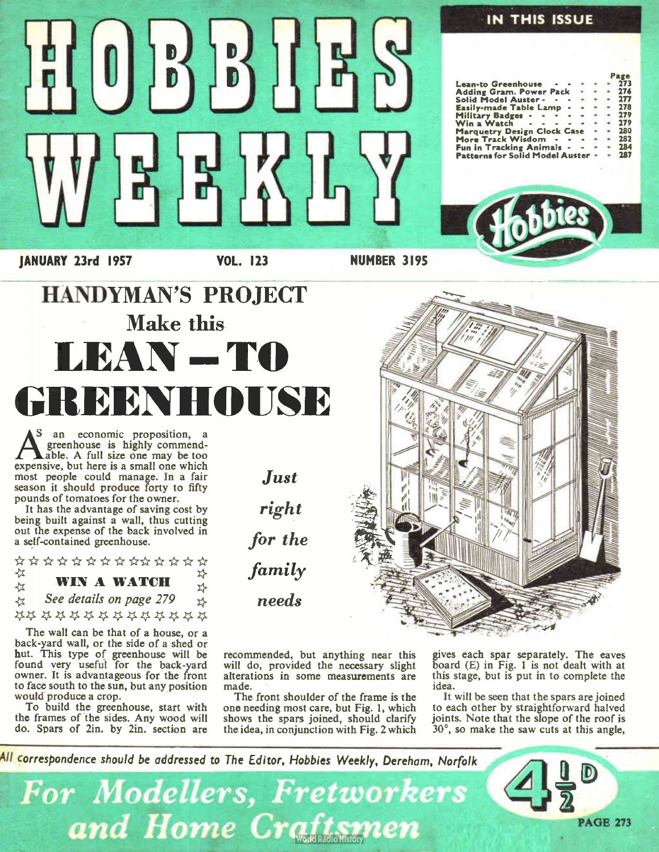

The wall can be that of a house, or a back-yard wall, or the side of a shed or nut. This type of greenhouse will be<br>found very useful for the back-yard owner. It is advantageous for the front to face south to the sun, but any position would produce a crop.

To build the greenhouse, start with the frames of the sides. Any wood will do. Spars of 2in. by 2in. section are

recommended, but anything near this will do, provided the necessary slight alterations in some measurements are made.

The front shoulder of the frame is the one needing most care, but Fig. 1, which shows the spars joined, should clarify the idea, in conjunction with Fig. 2 which gives each spar separately. The eaves board (E) in Fig. 1 is not dealt with at this stage, but is put in to complete the idea.

It will be seen that the spars are joined to each other by straightforward halved joints. Note that the slope of the roof is 30°, so make the saw cuts at this angle,

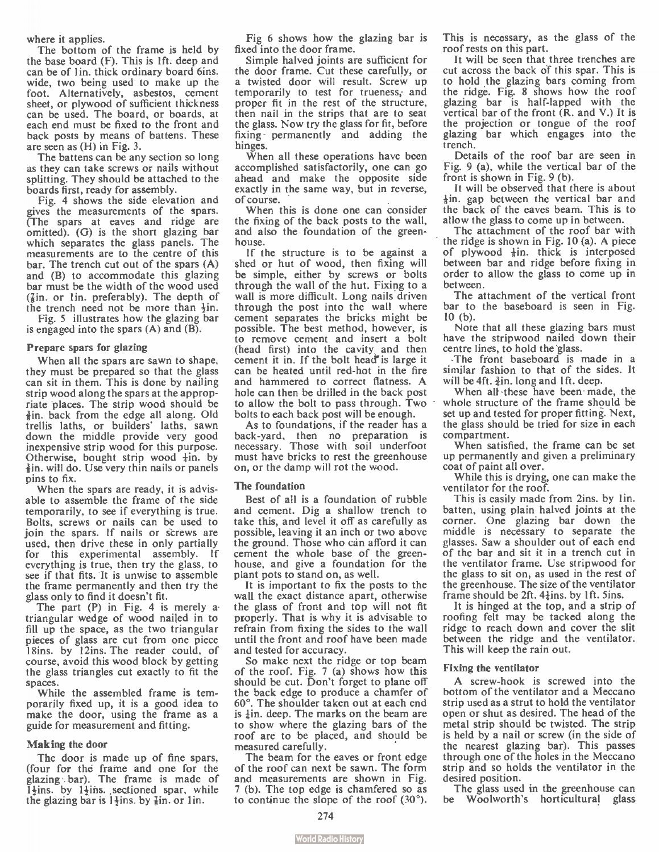where it applies.

The bottom of the frame is held by the base board (F). This is 1ft. deep and can be of 1 in. thick ordinary board 6ins. wide, two being used to make up the foot. Alternatively, asbestos, cement sheet, or plywood of sufficient thickness can be used. The board, or boards, at each end must be fixed to the front and back posts by means of battens. These are seen as  $(H)$  in Fig. 3.

The battens can be any section so long as they can take screws or nails without splitting. They should be attached to the boards first, ready for assembly.

Fig. 4 shows the side elevation and gives the measurements of the spars. (The spars at eaves and ridge are omitted). (G) is the short glazing bar which separates the glass panels. The measurements are to the centre of this bar. The trench cut out of the spars (A) and (B) to accommodate this glazing bar must be the width of the wood used  $(\frac{7}{6})$  in. preferably). The depth of the trench need not be more than  $\frac{1}{2}$ in.

Fig. 5 illustrates how the glazing bar is engaged into the spars  $(A)$  and  $(B)$ .

#### Prepare spars for glazing

When all the spars are sawn to shape, they must be prepared so that the glass can sit in them. This is done by nailing strip wood along the spars at the appropriate places. The strip wood should be  $\frac{3}{2}$ in. back from the edge all along. Old trellis laths, or builders' laths, sawn down the middle provide very good inexpensive strip wood for this purpose. Otherwise, bought strip wood  $\pm$ in. by ¡in. will do. Use very thin nails or panels pins to fix.

When the spars are ready, it is advisable to assemble the frame of the side temporarily, to see if everything is true. Bolts, screws or nails can be used to join the spars. If nails or screws are used, then drive these in only partially for this experimental assembly. If everything is true, then try the glass, to see if that fits. It is unwise to assemble the frame permanently and then try the glass only to find it doesn't fit.

The part (P) in Fig. 4 is merely atriangular wedge of wood nailed in to fill up the space, as the two triangular pieces of glass are cut from one piece 18ins. by 12ins. The reader could, of course, avoid this wood block by getting the glass triangles cut exactly to fit the spaces.

While the assembled frame is temporarily fixed up, it is a good idea to make the door, using the frame as a guide for measurement and fitting.

#### Making the door

The door is made up of fine spars, (four for the frame and one for the glazing bar). The frame is made of  $\overline{1}$ lins. by 1<sup>1</sup>/<sub>i</sub>ns. sectioned spar, while the glazing bar is  $1\frac{1}{2}$ ins. by  $\frac{7}{8}$ in. or 1 in.

Fig 6 shows how the glazing bar is fixed into the door frame.

Simple halved joints are sufficient for the door frame. Cut these carefully, or a twisted door will result. Screw up temporarily to test for trueness, and proper fit in the rest of the structure. then nail in the strips that are to seat the glass. Now try the glass for fit, before fixing permanently and adding the hinges.

When all these operations have been accomplished satisfactorily, one can go ahead and make the opposite side exactly in the same way, but in reverse, of course.

When this is done one can consider the fixing of the back posts to the wall, and also the foundation of the greenhouse.

If the structure is to be against a shed or hut of wood, then fixing will be simple, either by screws or bolts through the wall of the hut. Fixing to a wall is more difficult. Long nails driven through the post into the wall where cement separates the bricks might be possible. The best method, however, is to remove cement and insert a bolt (head first) into the cavity and then cement it in. If the bolt head" is large it can be heated until red-hot in the fire and hammered to correct flatness. A hole can then be drilled in the back post to allow the bolt to pass through. Two bolts to each back post will be enough.

As to foundations, if the reader has a back-yard, then no preparation is necessary. Those with soil underfoot must have bricks to rest the greenhouse on, or the damp will rot the wood.

#### The foundation

Best of all is a foundation of rubble and cement. Dig a shallow trench to take this, arrd level it off as carefully as possible, leaving it an inch or two above the ground. Those who càn afford it can cement the whole base of the greenhouse, and give a foundation for the plant pots to stand on, as well.

It is important to fix the posts to the wall the exact distance apart, otherwise the glass of front and top will not fit properly. That is why it is advisable to refrain from fixing the sides to the wall until the front and roof have been made and tested for accuracy.

So make next the ridge or top beam of the roof. Fig. 7 (a) shows how this should be cut. Don't forget to plane off the back edge to produce a chamfer of 60°. The shoulder taken out at each end is  $\frac{1}{2}$ in. deep. The marks on the beam are to show where the glazing bars of the roof are to be placed, and should be measured carefully.

The beam for the eaves or front edge of the roof can next be sawn. The form and measurements are shown in Fig. 7 (b). The top edge is chamfered so as to continue the slope of the roof  $(30^{\circ})$ . This is necessary, as the glass of the roof rests on this part.

It will be seen that three trenches are cut across the back of this spar. This is to hold the glazing bars coming from the ridge. Fig. 8 shows how the roof glazing bar is half-lapped with the vertical bar of the front  $(R.$  and  $V.$ ) It is the projection or tongue of the roof glazing bar which engages into the trench.

Details of the roof bar are seen in Fig. 9 (a), while the vertical bar of the front is shown in Fig. 9 (b).

It will be observed that there is about  $\frac{1}{6}$ in. gap between the vertical bar and the back of the eaves beam. This is to allow the glass to come up in between.

The attachment of the roof bar with the ridge is shown in Fig. 10 (a). A piece of plywood  $\frac{1}{2}$ in. thick is interposed between bar and ridge before fixing in order to allow the glass to come up in between.

The attachment of the vertical front bar to the baseboard is seen in Fig. 10 (b).

Note that all these glazing bars must have the stripwood nailed down their centre lines, to hold the glass.

The front baseboard is made in a similar fashion to that of the sides. It will be 4ft.  $\frac{3}{2}$ in. long and 1ft. deep.

When all these have been made, the whole structure of the frame should be set up and tested for proper fitting. Next, the glass should be tried for size in each compartment.

When satisfied, the frame can be set up permanently and given a preliminary coat of paint all over.

While this is drying, one can make the ventilator for the roof.

This is easily made from 2ins. by 1in. batten, using plain halved joints at the corner. One glazing bar down the middle is necessary to separate the glasses. Saw a shoulder out of each end of the bar and sit it in a trench cut in the ventilator frame. Use stripwood for the glass to sit on, as used in the rest of the greenhouse. The size of the ventilator frame should be 2ft.  $4\frac{1}{4}$ ins. by 1ft. 5ins.

It is hinged at the top, and a strip of roofing felt may be tacked along the ridge to reach down and cover the slit between the ridge and the ventilator. This will keep the rain out.

#### Fixing the ventilator

A screw-hook is screwed into the bottom of the ventilator and a Meccano strip used as a strut to hold the ventilator open or shut as desired. The head of the metal strip should be twisted. The strip is held by a nail or screw (in the side of the nearest glazing bar). This passes through one of the holes in the Meccano strip and so holds the ventilator in the desired position.

The glass used in the greenhouse can be Woolworth's horticultural glass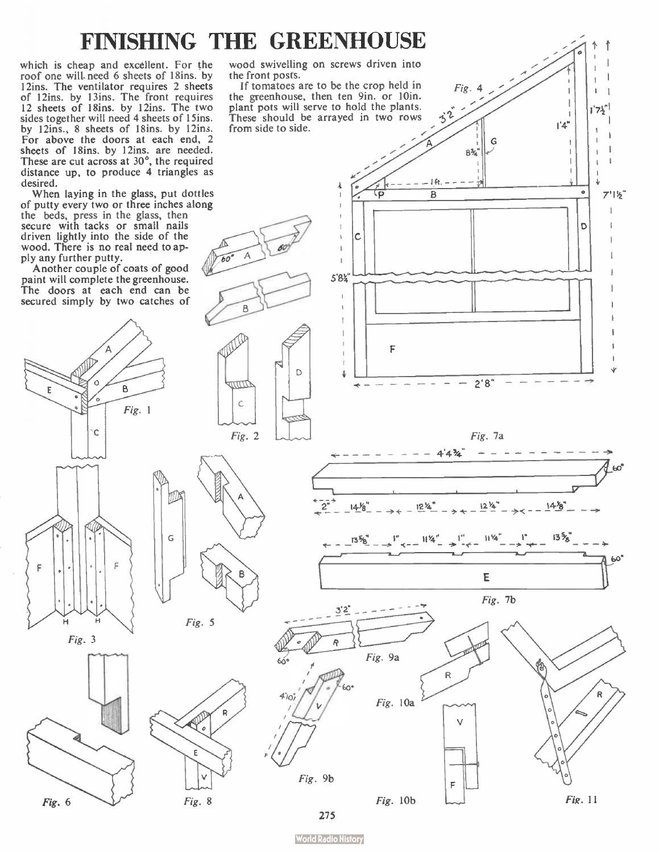### FINISHING THE GREENHOUSE

which is cheap and excellent. For the roof one will need 6 sheets of 18ins, by 12ins. The ventilator requires 2 sheets of 12ins. by 13ins. The front requires<br>12 sheets of 18ins. by 12ins. The two sides together will need 4 sheets of 15ins. by 12ins., 8 sheets of 18ins. by 12ins. For above the doors at each end, 2 sheets of 18ins. by 12ins. are needed.<br>These are cut across at 30°, the required distance up, to produce 4 triangles as desired.

When laying in the glass, put dottles<br>of putty every two or three inches along the beds, press in the glass, then secure with tacks or small nails driven lightly into the side of the wood. There is no real need to apply any further putty.

Another couple of coats of good paint will complete the greenhouse. The doors at each end can be secured simply by two catches of

Ċ

F

н  $Fig. 3$ 

Fig. 6

wood swivelling on screws driven into the front posts.

If tomatoes are to be the crop held in the greenhouse, then ten 9in. or 10in. plant pots will serve to hold the plants.

Fig.

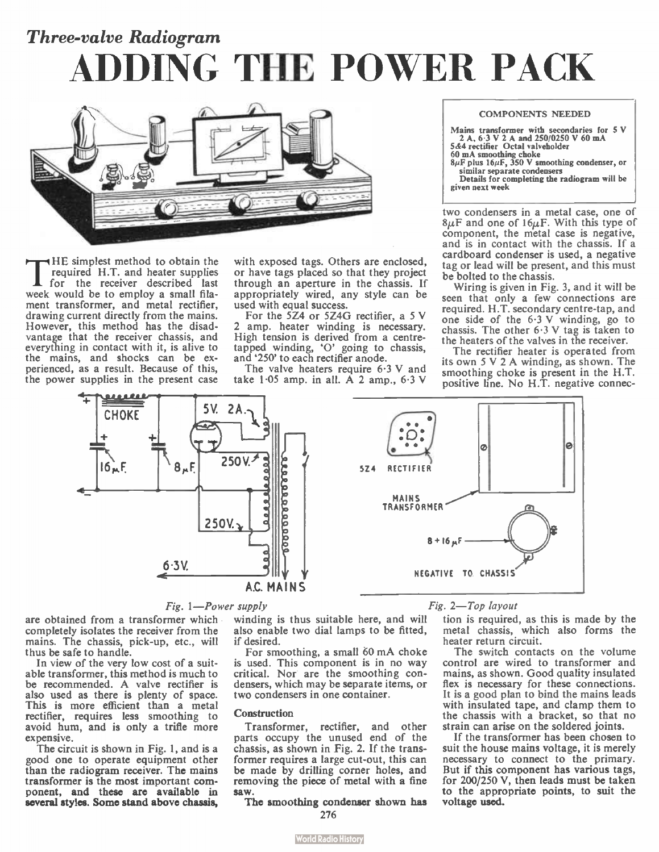## Three-valve Radiogram ADDING THE POWER PACK



The simplest method to obtain the<br>formate H.T. and heater supplies<br>week would be to employ a small fila-HE simplest method to obtain the required H.T. and heater supplies for the receiver described last ment transformer, and metal rectifier, drawing current directly from the mains. However, this method has the disadvantage that the receiver chassis, and everything in contact with it, is alive to the mains, and shocks can be experienced, as a result. Because of this, the power supplies in the present case

with exposed tags. Others are enclosed, or have tags placed so that they project through an aperture in the chassis. If appropriately wired, any style can be used with equal success.

For the 5Z4 or 5Z4G rectifier, a 5 V 2 amp. heater winding is necessary. High tension is derived from a centretapped winding, 'O' going to chassis,<br>and '250' to each rectifier anode.

The valve heaters require 6.3 V and take  $1.05$  amp. in all. A 2 amp.,  $6.3$  V

#### COMPONENTS NEEDED

| Mains transformer with secondaries for 5 V             |
|--------------------------------------------------------|
| 2 A, 6.3 V 2 A and 250/0250 V 60 mA                    |
| 5&4 rectifier Octal valveholder                        |
| 60 mA smoothing choke                                  |
| $8\mu$ F plus $16\mu$ F, 350 V smoothing condenser, or |
| similar separate condensers                            |
| Details for completing the radiogram will be           |
| given next week                                        |

two condensers in a metal case, one of  $\delta \mu$ F and one of  $I\delta \mu$ F. With this type of component, the metal case is negative, and is in contact with the chassis. If a cardboard condenser is used, a negative tag or lead will be present, and this must be bolted to the chassis.

Wiring is given in Fig. 3, and it will be seen that only a few connections are required. H.T. secondary centre-tap, and one side of the 6.3 V winding, go to chassis. The other 6.3 V tag is taken to the heaters of the valves in the receiver.

The rectifier heater is operated from its own 5 V 2 A winding, as shown. The smoothing choke is present in the H.T. positive line. No H.T. negative connec-





are obtained from a transformer which completely isolates the receiver from the mains. The chassis, pick-up, etc., will thus be safe to handle.

In view of the very low cost of a suitable transformer, this method is much to be recommended. A valve rectifier is also used as there is plenty of space. This is more efficient than a metal rectifier, requires less smoothing to avoid hum, and is only a trifle more expensive.

The circuit is shown in Fig. 1, and is a good one to operate equipment other than the radiogram receiver. The mains transformer is the most important component, and these are available in several styles. Some stand above chassis,

winding is thus suitable here, and will also enable two dial lamps to be fitted, if desired.

For smoothing, a small 60 mA choke is used. This component is in no way critical. Nor are the smoothing condensers, which may be separate items, or two condensers in one container.

#### **Construction**

I ransformer, rectifier, and other parts occupy the unused end of the chassis, as shown in Fig. 2. If the transformer requires a large cut-out, this can be made by drilling corner holes, and removing the piece of metal with a fine saw.

The smoothing condenser shown has 276



#### Fig. 1—Power supply Fig. 2—Top layout

tion is required, as this is made by the metal chassis, which also forms the heater return circuit.

The switch contacts on the volume control are wired to transformer and mains, as shown. Good quality insulated flex is necessary for these connections. It is a good plan to bind the mains leads with insulated tape, and clamp them to the chassis with a bracket, so that no strain can arise on the soldered joints.

If the transformer has been chosen to suit the house mains voltage, it is merely necessary to connect to the primary. But if this component has various tags, for 200/250 V, then leads must be taken to the appropriate points, to suit the voltage used.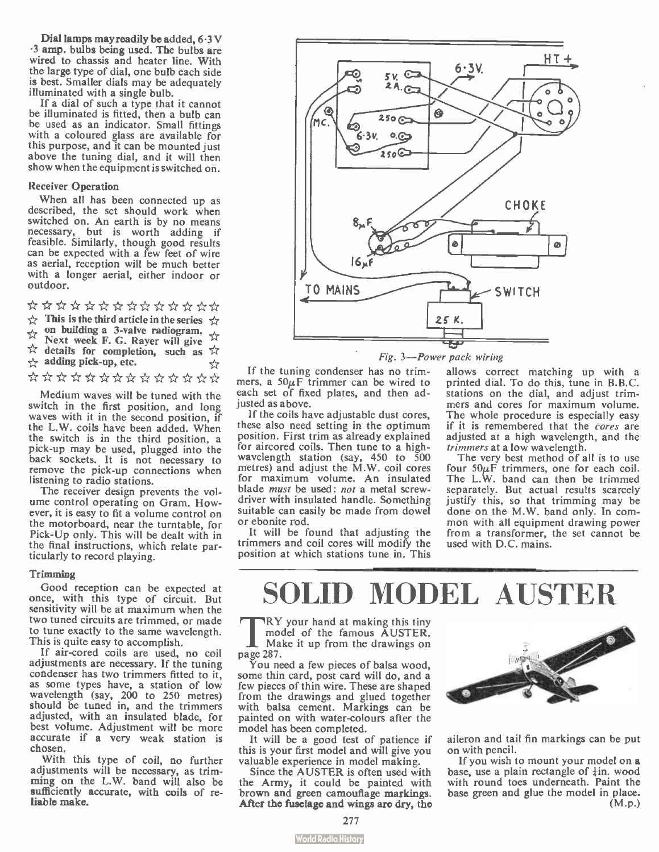Dial lamps may readily be added, 6.3 V .3 amp, bulbs being used. The bulbs are wired to chassis and heater line. With the large type of dial, one bulb each side is best. Smaller dials may be adequately illuminated with a single bulb.

If a dial of such a type that it cannot be illuminated is fitted, then a bulb can be used as an indicator. Small fittings with a coloured glass are available for this purpose, and it can be mounted just above the tuning dial, and it will then show when the equipment is switched on.

#### Receiver Operation

When all has been connected up as described, the set should work when switched on. An earth is by no means necessary, but is worth adding if feasible. Similarly, though good results can be expected with a few feet of wire as aerial, reception will be much better with a longer aerial, either indoor or outdoor.

\*\*\*\*\*\*\*\*\*\*\*\*  $\rightarrow$  This is the third article in the series  $\rightarrow$ ... on building a 3-valve radiogram.<br>
Next week F. G. Rayer will give ☆  $\overleftrightarrow{x}$  details for completion, such as  $\overleftrightarrow{x}$  $\rightarrow$  adding pick-up, etc. ☆ \*\*\*\*\*\*\*\*\*\*\*\*

Medium waves will be tuned with the switch in the first position, and long waves with it in the second position, if the L.W. coils have been added. When the switch is in the third position, a pick-up may be used, plugged into the back sockets. It is not necessary to remove the pick-up connections when listening to radio stations.

The receiver design prevents the volume control operating on Gram. However, it is easy to fit a volume control on the motorboard, near the turntable, for Pick-Up only. This will be dealt with in the final instructions, which relate particularly to record playing.

#### Trimming

Good reception can be expected at once, with this type of circuit. But sensitivity will be at maximum when the two tuned circuits are trimmed, or made to tune exactly to the same wavelength. This is quite easy to accomplish.

If air-cored coils are used, no coil adjustments are necessary. If the tuning condenser has two trimmers fitted to it, as some types have, a station of low wavelength (say, 200 to 250 metres) should be tuned in, and the trimmers adjusted, with an insulated blade, for best volume. Adjustment will be more accurate if a very weak station is chosen.

With this type of coil, no further adjustments will be necessary, as trimming on the L.W. band will also be sufficiently accurate, with coils of reliable make.



Fig. 3—Power pack wiring

If the tuning condenser has no trimmers, a  $50\mu$ F trimmer can be wired to each set of fixed plates, and then adjusted as above.

If the coils have adjustable dust cores, these also need setting in the optimum position. First trim as already explained for aircored coils. Then tune to a highwavelength station (say, 450 to 500 metres) and adjust the M.W. coil cores for maximum volume. An insulated blade must be used: not a metal screwdriver with insulated handle. Something suitable can easily be made from dowel or ebonite rod.

It will be found that adjusting the trimmers and coil cores will modify the position at which stations tune in. This

allows correct matching up with a printed dial. To do this, tune in B.B.C. stations on the dial, and adjust trimmers and cores for maximum volume. The whole procedure is especially easy if it is remembered that the cores are adjusted at a high wavelength, and the trimmers at a low wavelength.

The very best method of all is to use four  $50\mu$ F trimmers, one for each coil. The L.W. band can then be trimmed separately. But actual results scarcely justify this, so that trimming may be done on the M.W. band only. In common with all equipment drawing power from a transformer, the set cannot be used with D.C. mains.

## MODEL AUSTER

 $\frac{RY}{\text{mode}}$ <br>
page 287. RY your hand at making this tiny model of the famous AUSTER. Make it up from the drawings on

You need a few pieces of balsa wood, some thin card, post card will do, and a few pieces of thin wire. These are shaped from the drawings and glued together with balsa cement. Markings can be painted on with water-colours after the model has been completed.

It will be a good test of patience if this is your first model and will give you valuable experience in model making.

Since the AUSTER is often used with the Army, it could be painted with brown and green camouflage markings. After the fuselage and wings are dry, the



aileron and tail fin markings can be put on with pencil.

If you wish to mount your model on a base, use a plain rectangle of  $\frac{1}{2}$ in. wood with round toes underneath. Paint the base green and glue the model in place. (M.P.)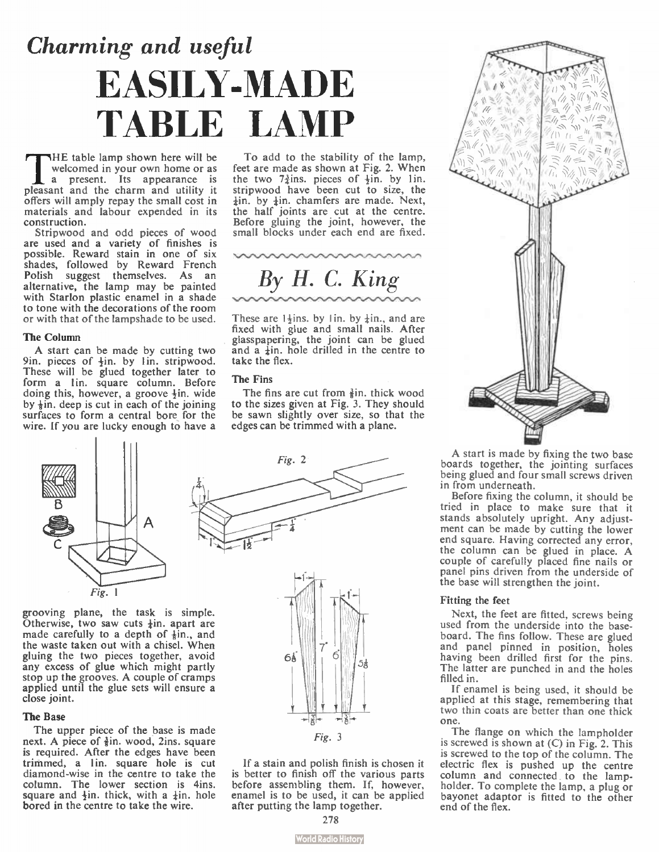# Charming and useful EASILY-MADE TABLE LAMP

The table lamp shown here will be<br>a present. Its appearance as<br>pleasant and the charm and utility it HE table lamp shown here will be welcomed in your own home or as a present. Its appearance is offers will amply repay the small cost in materials and labour expended in its construction.

Stripwood and odd pieces of wood are used and a variety of finishes is possible. Reward stain in one of six shades, followed by Reward French Polish suggest themselves. As an alternative, the lamp may be painted with Starlon plastic enamel in a shade to tone with the decorations of the room or with that of the lampshade to be used.

#### The Column

A start can be made by cutting two 9in. pieces of  $\frac{1}{2}$ in. by 1 in. stripwood. These will be glued together later to form a lin. square column. Before doing this, however, a groove  $\frac{1}{2}$ in. wide by  $\frac{1}{2}$ in. deep is cut in each of the joining surfaces to form a central bore for the wire. If you are lucky enough to have a



To add to the stability of the lamp, feet are made as shown at Fig. 2. When the two  $7\frac{3}{4}$ ins. pieces of  $\frac{1}{2}$ in. by 1 in. stripwood have been cut to size, the  $\frac{1}{2}$ in. by  $\frac{1}{2}$ in. chamfers are made. Next, the half joints are cut at the centre. Before gluing the joint, however, the small blocks under each end are fixed.

By H. C. King

These are  $1+$ ins. by 1 in. by  $+$ in., and are fixed with glue and small nails. After glasspapering, the joint can be glued and a  $\frac{1}{2}$ in, hole drilled in the centre to take the flex.

#### The Fins

The fins are cut from  $\frac{3}{2}$ in, thick wood to the sizes given at Fig. 3. They should be sawn slightly over size, so that the edges can be trimmed with a plane.

 $Fig. 2$ 



Otherwise, two saw cuts  $\frac{1}{2}$ in. apart are made carefully to a depth of  $\frac{1}{6}$ in., and the waste taken out with a chisel. When gluing the two pieces together, avoid any excess of glue which might partly stop up the grooves. A couple of cramps applied until the glue sets will ensure a close joint.

#### The Base

The upper piece of the base is made next. A piece of  $\frac{3}{2}$ in. wood, 2ins. square is required. After the edges have been trimmed, a lin, square hole is cut diamond-wise in the centre to take the column. The lower section is 4ins.<br>square and  $\frac{1}{2}$ in, thick, with a  $\frac{1}{4}$ in, hole bored in the centre to take the wire.



If a stain and polish finish is chosen it is better to finish off the various parts before assembling them. If, however, enamel is to be used, it can be applied after putting the lamp together.



A start is made by fixing the two base boards together, the jointing surfaces being glued and four small screws driven in from underneath.

Before fixing the column, it should be tried in place to make sure that it stands absolutely upright. Any adjustment can be made by cutting the lower end square. Having corrected any error, the column can be glued in place. A couple of carefully placed fine nails or panel pins driven from the underside of the base will strengthen the joint.

#### Fitting the feet

Next, the feet are fitted, screws being used from the underside into the baseboard. The fins follow. These are glued and panel pinned in position, holes having been drilled first for the pins. The latter are punched in and the holes filled in.

If enamel is being used, it should be applied at this stage, remembering that two thin coats are better than one thick one.

The flange on which the lampholder is screwed is shown at  $(C)$  in Fig. 2. This is screwed to the top of the column. The electric flex is pushed up the centre column and connected, to the lampholder. To complete the lamp, a plug or bayonet adaptor is fitted to the other end of the flex.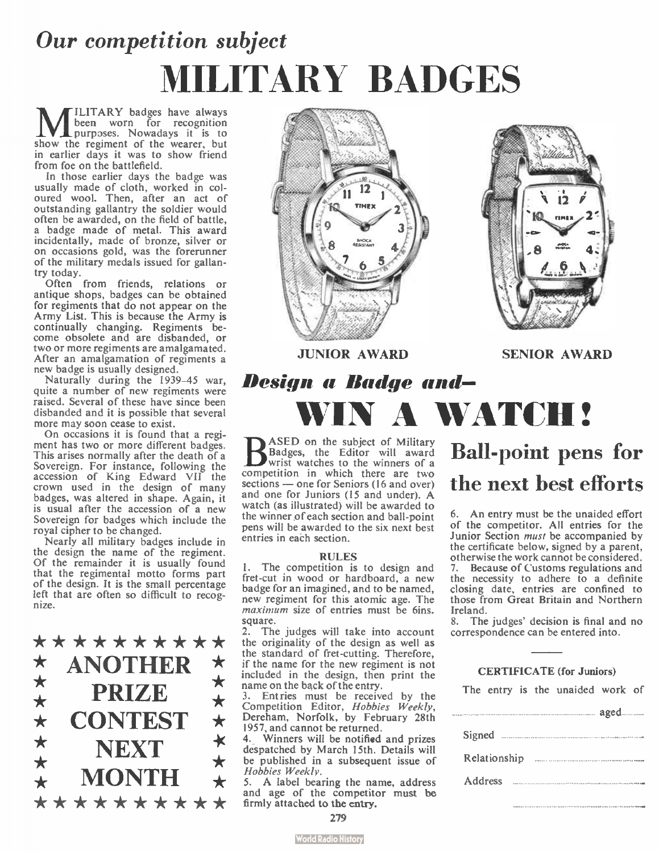# Our competition subject MILITARY BADGES

**M** been worn for recognition<br>purposes. Nowadays it is to<br>show the regiment of the wearer, but ILITARY badges have always been worn for recognition purposes. Nowadays it is to in earlier days it was to show friend from foe on the battlefield.<br>In those earlier days the badge was

In those earlier days the badge was usually made of cloth, worked in coloured wool. Then, after an act of outstanding gallantry the soldier would often be awarded, on the field of battle, a badge made of metal. This award incidentally, made of bronze, silver or on occasions gold, was the forerunner of the military medals issued for gallantry today.

Often from friends, relations or antique shops, badges can be obtained for regiments that do not appear on the Army List. This is because the Army is continually changing. Regiments become obsolete and are disbanded, or two or more regiments are amalgamated. After an amalgamation of regiments a new badge is usually designed.

Naturally during the 1939-45 war, quite a number of new regiments were raised. Several of these have since been disbanded and it is possible that several more may soon cease to exist.

On occasions it is found that a regiment has two or more different badges. This arises normally after the death of a Sovereign. For instance, following the accession of King Edward VII the crown used in the design of many badges, was altered in shape. Again, it is usual after the accession of a new Sovereign for badges which include the royal cipher to be changed.

Nearly all military badges include in the design the name of the regiment. Of the remainder it is usually found that the regimental motto forms part of the design. It is the small percentage left that are often so difficult to recognize.

\*\*\*\*\*\*\*\*\*<sup>2.</sup> **ANOTHER PRIZE CONTEST** NEXT<sub></sub> **MONTH** \* ANOTHER \* \* \*<br>
\* PRIZE \* \* \* \*<br>
CONTEST \* \* \* \*<br>
\* MONTH \* \*<br>
\* \* \* \* \* \* \* \* \* \* \*





JUNIOR AWARD

SENIOR AWARD

### Design a Badge and— WIN A WATCH!

**B** ASED on the subject of Military<br>Badges, the Editor will award<br>wrist watches to the winners of a wrist watches to the winners of a competition in which there are two sections — one for Seniors ( 16 and over) and one for Juniors ( 15 and under). A watch (as illustrated) will be awarded to the winner of each section and ball-point pens will be awarded to the six next best entries in each section.

#### RULES

The competition is to design and fret-cut in wood or hardboard, a new badge for an imagined, and to be named, new regiment for this atomic age. The maximum size of entries must be 6ins. square.

The judges will take into account the originality of the design as well as the standard of fret-cutting. Therefore, if the name for the new regiment is not included in the design, then print the name on the back of the entry.

3. Entries must be received by the<br>Competition Editor, *Hobbies Weekly*, Dereham, Norfolk, by February 28th 1957, and cannot be returned.

4. Winners will be notified and prizes despatched by March 15th. Details will be published in a subsequent issue of Hobbies Weekly.

5. A label bearing the name, address and age of the competitor must be firmly attached to the entry.

### Ball-point pens for the next best efforts

6. An entry must be the unaided effort of the competitor. All entries for the Junior Section must be accompanied by the certificate below, signed by a parent, otherwise the work cannot be considered. 7. Because of Customs regulations and the necessity to adhere to a definite closing date, entries are confined to those from Great Britain and Northern

Ireland. 8. The judges' decision is final and no correspondence can be entered into.

#### CERTIFICATE (for Juniors)

The entry is the unaided work of

|         |                            | aged |
|---------|----------------------------|------|
|         | Signed <b>Example</b> 2014 |      |
|         |                            |      |
| Address |                            |      |
|         |                            |      |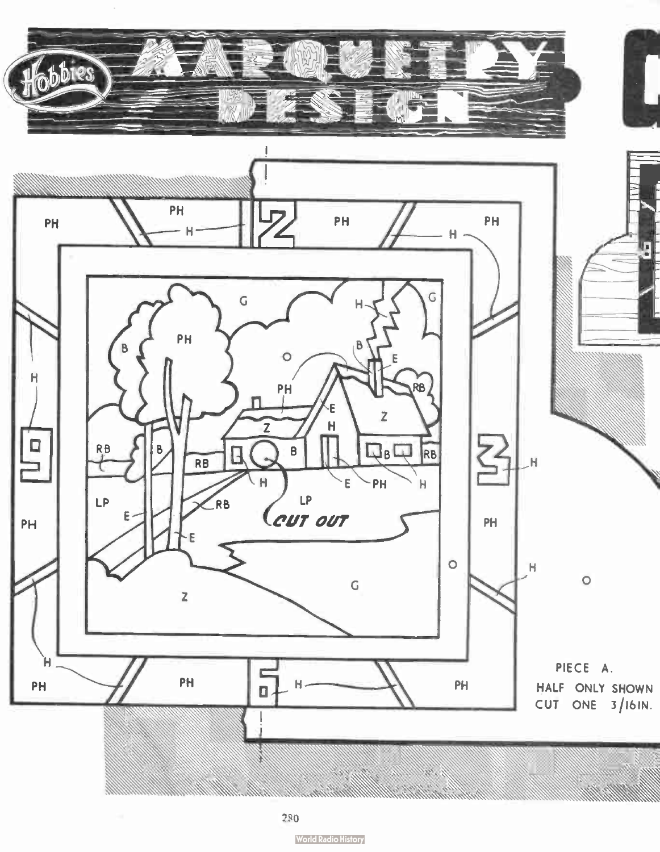

280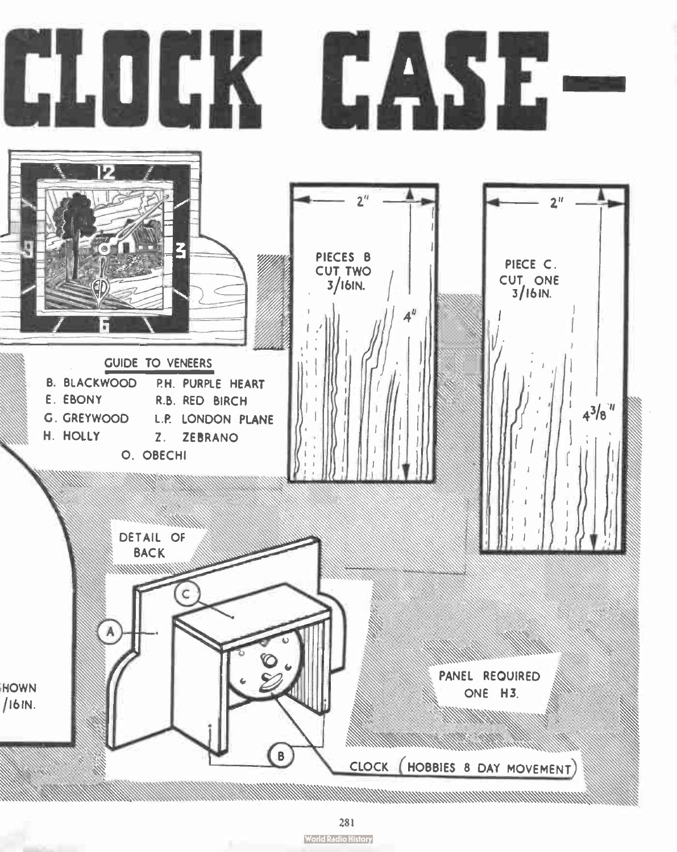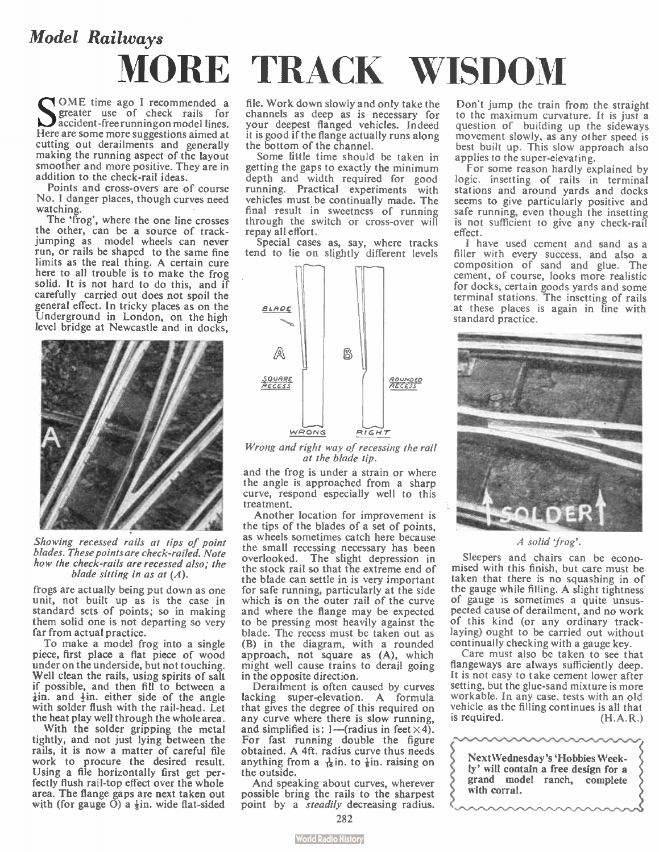# Model Railways MORE TRACK WISDOM

SOME time ago I recommended a<br>greater use of check rails for<br>largers can be recunning on model lines. accident-free running on model lines. Here are some more suggestions aimed at cutting out derailments and generally making the running aspect of the layout smoother and more positive. They are in addition to the check-rail ideas.

Points and cross-overs are of course No. 1 danger places, though curves need watching.

The 'frog', where the one line crosses the other, can be a source of trackjumping as model wheels can never run, or rails be shaped to the same fine limits as the real thing. A certain cure here to all trouble is to make the frog solid. It is not hard to do this, and if carefully carried out does not spoil the general effect. In tricky places as on the Underground in London, on the high level bridge at Newcastle and in docks,



Showing recessed rails at tips of point blades. These points are check-railed. Note how the check-rails are recessed also; the blade sitting in as at  $(A)$ .

frogs are actually being put down as one unit, not built up as is the case in standard sets of points; so in making them solid one is not departing so very far from actual practice.

To make a model frog into a single piece, first place a flat piece of wood under on the underside, but not touching. Well clean the rails, using spirits of salt if possible, and then fill to between a  $\frac{1}{2}$ in. and  $\frac{1}{2}$ in. either side of the angle with solder flush with the rail-head. Let the heat play well through the whole area.

With the solder gripping the metal tightly, and not just lying between the rails, it is now a matter of careful file work to procure the desired result. Using a file horizontally first get perfectly flush rail-top effect over the whole area. The flange gaps are next taken out with (for gauge  $\ddot{O}$ ) a  $\frac{1}{2}$ in. wide flat-sided

file. Work down slowly and only take the channels as deep as is necessary for your deepest flanged vehicles. Indeed it is good if the flange actually runs along the bottom of the channel.

Some little time should be taken in getting the gaps to exactly the minimum depth and width required for good running. Practical experiments with vehicles must be continually made. The final result in sweetness of running through the switch or cross-over will repay all effort.

Special cases as, say, where tracks tend to lie on slightly different levels



Wrong and right way of recessing the rail at the blade tip.

and the frog is under a strain or where the angle is approached from a sharp curve, respond especially well to this treatment.

Another. location for improvement is the tips of the blades of a set of points, as wheels sometimes catch here because the small recessing necessary has been overlooked. The slight depression in the stock rail so that the extreme end of the blade can settle in is very important for safe running, particularly at the side which is on the outer rail of the curve and where the flange may be expected to be pressing most heavily against the blade. The recess must be taken out as (B) in the diagram, with a rounded approach, not square as (A), which might well cause trains to derail going in the opposite direction.

Derailment is often caused by curves lacking super-elevation. A formula that gives the degree of this required on any curve where there is slow running, and simplified is: 1—(radius in feet  $\times$  4). For fast running double the figure obtained. A 4ft. radius curve thus needs anything from a  $\frac{1}{16}$  in. to  $\frac{1}{6}$  in. raising on the outside.

And speaking about curves, wherever possible bring the rails to the sharpest point by a *steadily* decreasing radius. Don't jump the train from the straight to the maximum curvature. It is just a question of building up the sideways movement slowly, as any other speed is best built up. This slow approach also applies to the super-elevating.

For some reason hardly explained by logic, insetting of rails in terminal stations and around yards and docks seems to give particularly positive and safe running, even though the insetting is not sufficient to give any check-rail effect.

I have used cement and sand as a filler with every success, and also a composition of sand and glue. The cement, of course, looks more realistic for docks, certain goods yards and some terminal stations. The insetting of rails at these places is again in line with standard practice.



A solid 'frog'.

Sleepers and chairs can be economised with this finish, but care must be taken that there is no squashing in of the gauge while filling. A slight tightness of gauge is sometimes a quite unsuspected cause of derailment, and no work of this kind (or any ordinary tracklaying) ought to be carried out without continually checking with a gauge key.

Care must also be taken to see that flangeways are always sufficiently deep. It is not easy to take cement lower after setting, but the glue-sand mixture is more workable. In any case, tests with an old vehicle as the filling continues is all that is required. (H.A.R.)

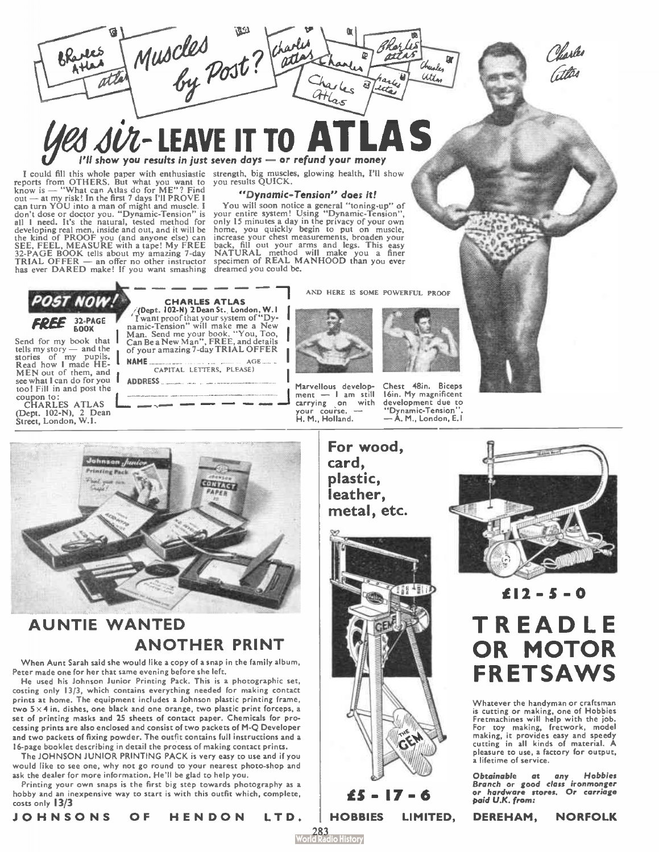Muscles<br>by Post? Than BRances ran ïм Chrisles utta Hlas

### $\mathcal{J}$   $\mathcal{J} \mathcal{U}$   $\mathcal{I}$   $\sim$  LEAVE in TO  $\sim$   $\mathcal{I}$  $P$ ll show you results in just seven days — or refund your money

I could fill this whole paper with enthusiastic seports from OTHERS. But what you want to you want to power to the whole power to the metal out — at my risk! In the first 7 days I'll PROVE I can turn YOU into a man of might and muscle. I don't dose or doctor you. " Dynamic-Tension" is I need. It's the natural, tested method for developing real men, inside and out, and it will be the kind of PROOF you (and anyone else) can SEE, FEEL, MEASURE with a tape! My FREE 32- PAGE BOOK tells about my amazing 7-day TRIAL OFFER — an offer no other instructor has ever DARED make! If you want smashing

strength, big muscles, glowing health, I'll show you results QUICK.

#### "Dynamic—Tension" does it!

You will soon notice a general "toning-up" of<br>your entire system! Using "Dynamic-Tension",<br>only 15 minutes a day in the privacy of your own<br>home, you quickly begin to put on muscle,<br>increase your chest measurements, broade back, fill out your arms and legs. This easy NATURAL method will make you a finer specimen of REAL MANHOOD than you ever dreamed you could be.

AND HERE IS SOME POWERFUL PROOF



Marvellous development — 1 am still carrying on with

your course. — H. M., Holland.

Chest 48in. Biceps 16in. My magnificent development due to "Dynamic-Tension". — A. M., London, E.I



### AUNTIE WANTED ANOTHER PRINT

When Aunt Sarah said she would like a copy of a snap in the family album, Peter made one for her that same evening before she left.

He used his Johnson Junior Printing Pack. This is a photographic set, costing only 13/3, which contains everything needed for making contact prints at home. The equipment includes a Johnson plastic printing frame, two 5 x 4 in, dishes, one black and one orange, two plastic print forceps, a set of printing masks and 25 sheets of contact paper. Chemicals for processing prints are also enclosed and consist of two packets of M-Q Developer and two packets of fixing powder. The outfit contains full instructions and a I6- page booklet describing in detail the process of making contact prints.

The JOHNSON JUNIOR PRINTING PACK is very easy to use and if you would like to see one, why not go round to your nearest photo-shop and ask the dealer for more information. He'll be glad to help you.

Printing your own snaps is the first big step towards photography as a hobby and an inexpensive way to start is with this outfit which, complete, costs only 13/3



For wood, card, plastic, leather, metal, etc.



283<br>Id Radio History



Vlaske

### $£12 - 5 - 0$ TREADLE OR MOTOR FRETSAWS

Whatever the handyman or craftsman is cutting or making, one of Hobbies Fretmachines will help with the job. For toy making, fretwork, model making, it provides easy and speedy cutting in all kinds of material. A pleasure to use, a factory for output, a lifetime of service.

Obtainable at any Hobbies Branch or good class ironmonger or hardware stores. Or carriage paid U.K. from:

HOBBIES LIMITED,

DEREHAM, NORFOLK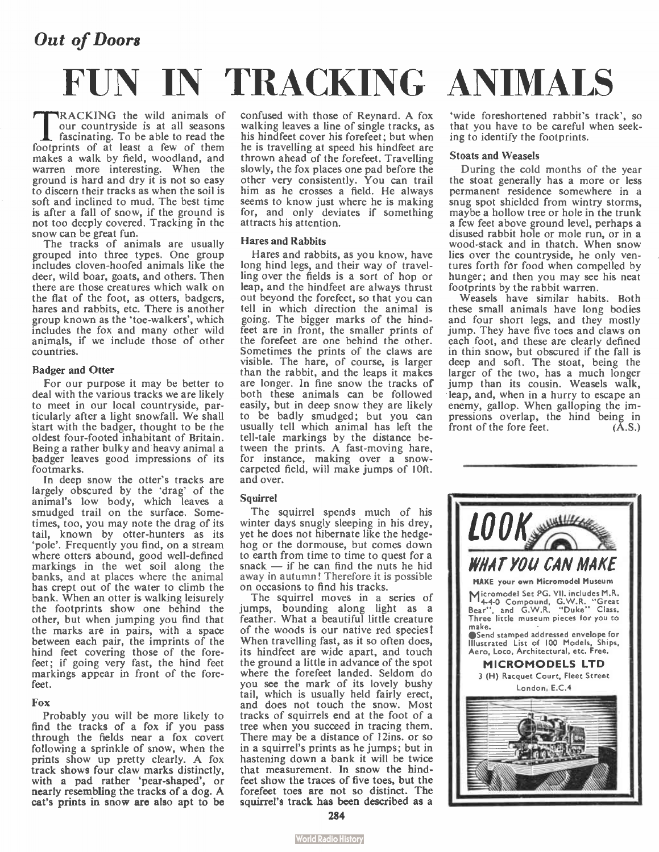### Out of Doors

# FUN IN TRACKING ANIMALS

**TRACKING** the wild animals of<br>
ascinating. To be able to read the<br>
footprints of at least a few of them RACKING the wild animals of our countryside is at all seasons makes a walk by field, woodland, and warren more interesting. When the ground is hard and dry it is not so easy to discern their tracks as when the soil is soft and inclined to mud. The best time is after a fall of snow, if the ground is not too deeply covered. Tracking in the snow can be great fun.

The tracks of animals are usually grouped into three types. One group includes cloven-hoofed animals like the deer, wild boar, goats, and others. Then there are those creatures which walk on the flat of the foot, as otters, badgers, hares and rabbits, etc. There is another group known as the 'toe-walkers', which includes the fox and many other wild animals, if we include those of other countries.

#### Badger and Otter

For our purpose it may be better to deal with the various tracks we are likely to meet in our local countryside, particularly after a light snowfall. We shall 'start with the badger, thought to be the oldest four-footed inhabitant of Britain. Being a rather bulky and heavy animal a badger leaves good impressions of its footmarks.

In deep snow the otter's tracks are largely obscured by the 'drag' of the animal's low body, which leaves a smudged trail on the surface. Sometimes, too, you may note the drag of its tail, known by otter-hunters as its 'pole'. Frequently you find, on a stream where otters abound, good well-defined markings in the wet soil along the banks, and at places where the animal has crept out of the water to climb the bank. When an otter is walking leisurely the footprints show one behind the other, but when jumping you find that the marks are in pairs, with a space between each pair, the imprints of the hind feet covering those of the forefeet; if going very fast, the hind feet markings appear in front of the forefeet.

#### Fox

Probably you will be more likely to find the tracks of a fox if you pass through the fields near a fox covert following a sprinkle of snow, when the prints show up pretty clearly. A fox track shows four claw marks distinctly, with a pad rather 'pear-shaped', or nearly resembling the tracks of a dog. A cat's prints in snow are also apt to be confused with those of Reynard. A fox walking leaves a line of single tracks, as his hindfeet cover his forefeet; but when he is travelling at speed his hindfeet are thrown ahead of the forefeet. Travelling slowly, the fox places one pad before the other very consistently. You can trail him as he crosses a field. He always seems to know just where he is making for, and only deviates if something attracts his attention.

#### Hares and Rabbits

Hares and rabbits, as you know, have long hind legs, and their way of travelling over the fields is a sort of hop or leap, and the hindfeet are always thrust out beyond the forefeet, so that you can tell in which direction the animal is going. The bigger marks of the hindfeet are in front, the smaller prints of the forefeet are one behind the other. Sometimes the prints of the claws are visible. The hare, of course, is larger than the rabbit, and the leaps it makes are longer. In fine snow the tracks of both these animals can be followed easily, but in deep snow they are likely to be badly smudged; but you can usually tell which animal has left the tell-tale markings by the distance between the prints. A fast-moving hare, for instance, making over a snowcarpeted field, will make jumps of 10ft. and over.

#### **Squirrel**

The squirrel spends much of his winter days snugly sleeping in his drey, yet he does not hibernate like the hedgehog or the dormouse, but comes down to earth from time to time to quest for a snack — if he can find the nuts he hid away in autumn! Therefore it is possible on occasions to find his tracks.

The squirrel moves in a series of jumps, bounding along light as a feather. What a beautiful little creature of the woods is our native red species! When travelling fast, as it so often does, its hindfeet are wide apart, and touch the ground a little in advance of the spot where the forefeet landed. Seldom do you see the mark of its lovely bushy tail, which is usually held fairly erect, and does not touch the snow. Most tracks of squirrels end at the foot of a tree when you succeed in tracing them. There may be a distance of 12ins. or so in a squirrel's prints as he jumps; but in hastening down a bank it will be twice that measurement. In snow the hindfeet show the traces of five toes, but the forefeet toes are not so distinct. The squirrel's track has been described as a

'wide foreshortened rabbit's track', so that you have to be careful when seeking to identify the footprints.

#### Stoats and Weasels

During the cold months of the year the stoat generally has a more or less permanent residence somewhere in a snug spot shielded from wintry storms. maybe a hollow tree or hole in the trunk a few feet above ground level, perhaps a disused rabbit hole or mole run, or in a wood-stack and in thatch. When snow lies over the countryside, he only ventures forth for food when compelled by hunger; and then you may see his neat footprints by the rabbit warren.

Weasels have similar habits. Both these small animals have long bodies and four short legs, and they mostly jump. They have five toes and claws on each foot, and these are clearly defined in thin snow, but obscured if the fall is deep and soft. The stoat, being the larger of the two, has a much longer jump than its cousin. Weasels walk, • leap, and, when in a hurry to escape an enemy, gallop. When galloping the impressions overlap, the hind being in<br>front of the fore feet. (A.S.) front of the fore feet.

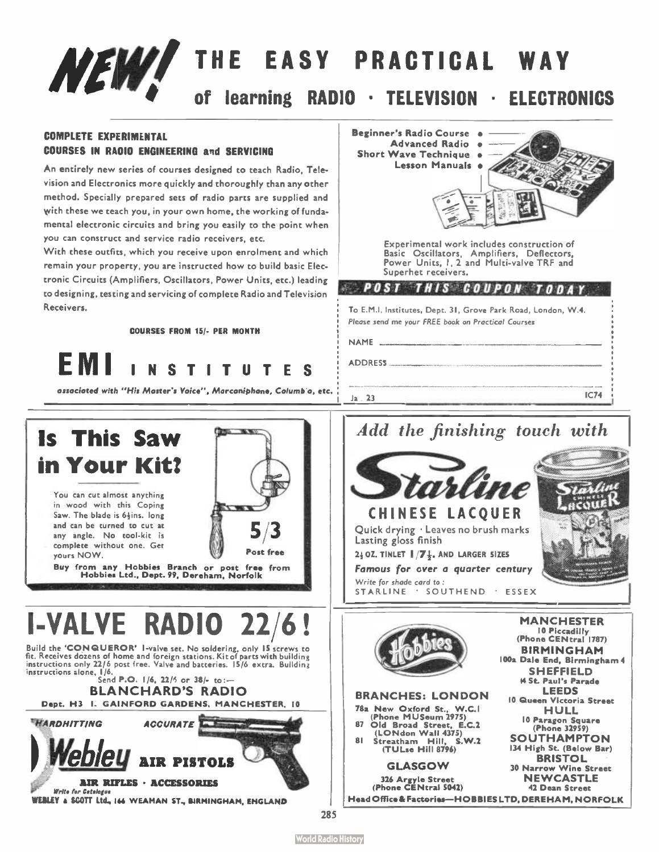# NEW! THE EASY PRACTICAL WAY learning RADIO · TELEVISION · ELECTRONICS

Beginner's Radio Course • Advanced Radio •

#### COMPLETE EXPERIMENTAL COURSES IN RADIO ENGINEERING and SERVICING

An entirely new series of courses designed to teach Radio, Television and Electronics more quickly and thoroughly than any other method. Specially prepared sets of radio parts are supplied and with these we teach you, in your own home, the working of fundamental electronic circuits and bring you easily to the point when you can construct and service radio receivers, etc.

With these outfits, which you receive upon enrolment and which remain your property, you are instructed how to build basic Electronic Circuits (Amplifiers, Oscillators, Power Units, etc.) leading to designing, testing and servicing of complete Radio and Television Receivers.

COURSES FROM 15/- PER MONTH



associated with "His Master's Vaice", Marconiphone, Calumbia, etc.



Build the **'CONQUEROR'** I-valve set. No soldering, only 15 screws to<br>fit. Receives dozens of home and foreign stations. Kit of parts with building instructions only 22/6 post free. Valve and batteries. 15/6 extra. Building  $\frac{1}{10}$  instructions alone, 1/9.<br>Send P.O. 1/6, 22/5 or 38/- to :—

BLANCHARD'S RADIO Dept. H3 I. GA1NFORD GARDENS, MANCHESTER, 10



WEBLEY a SCOTT Ltd., 166 WEAMAN ST., BIRMINGHAM, ENGLAND





BRANCHES: LONDON 78a New Oxford St., W.C.I (Phone MUSeum 2975) 87 Old Broad Street, E.C.2 (LONdon Wall 4375) 81 Streatham Hill, S.W.2 (TULse Hill 8796) GLASGOW 326 Argyle Street (Phone CENtral 5042)

BIRMINGHAM 100a Dale End, Birmingham 4 SHEFFIELD \$4 St. Paul's Parade LEEDS 10 Queen Victoria Street HULL 10 Paragon Square (Phone 32959) **SOUTHAMPTON** 134 High St. (Below Bar) BRISTOL 30 Narrow Wine Street **NEWCASTLE** 42 Dean Street Head Office & Factories— HOBBIES LTD, DEREHAM, NORFOLK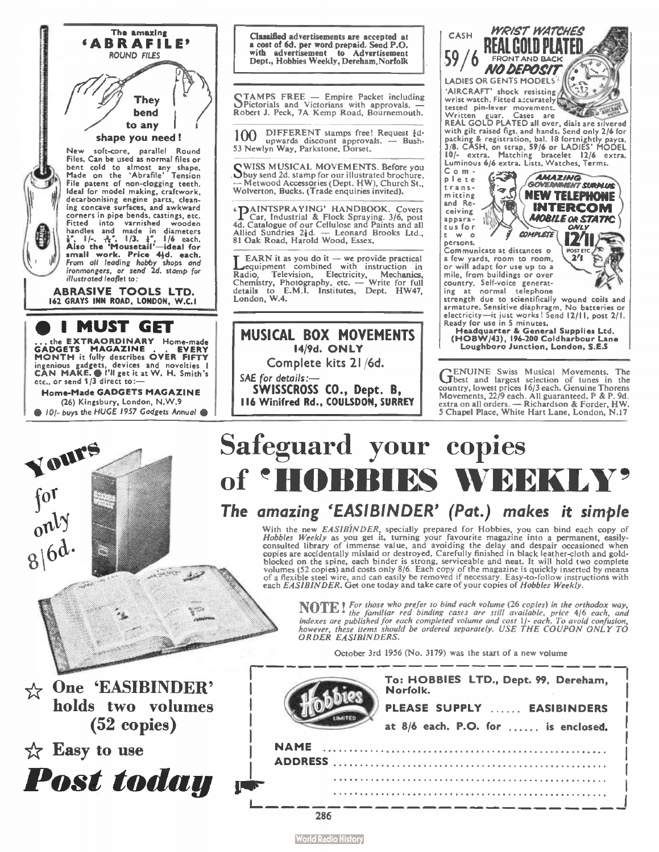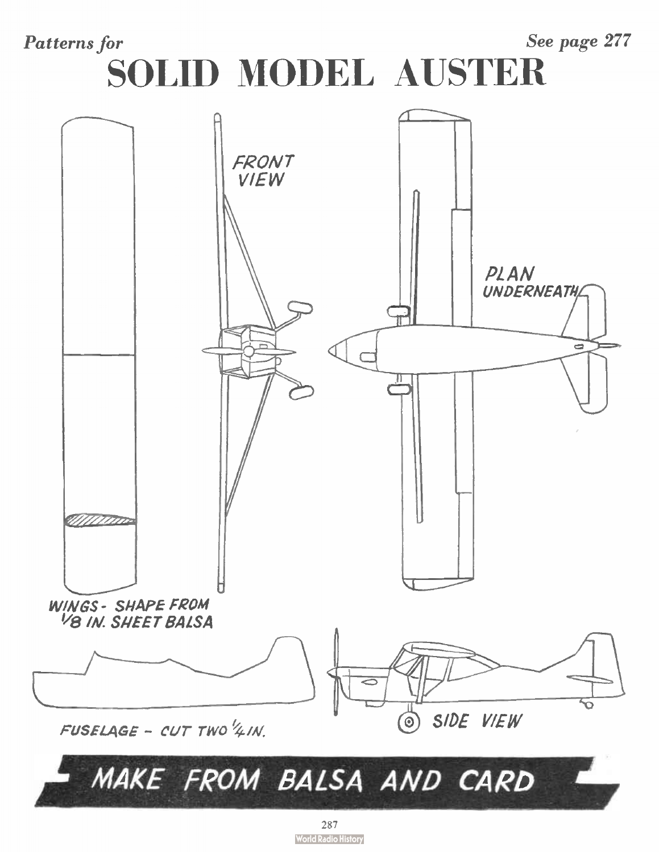See page 277 **Patterns** for SOLID MODEL AUSTER